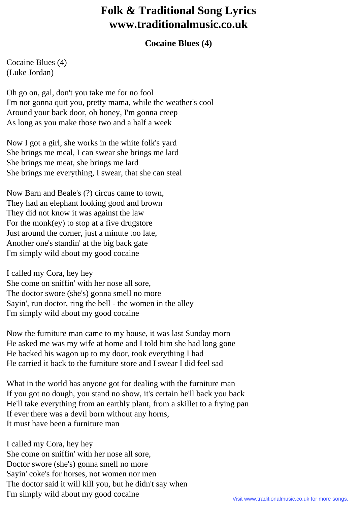## **Folk & Traditional Song Lyrics www.traditionalmusic.co.uk**

## **Cocaine Blues (4)**

Cocaine Blues (4) (Luke Jordan)

Oh go on, gal, don't you take me for no fool I'm not gonna quit you, pretty mama, while the weather's cool Around your back door, oh honey, I'm gonna creep As long as you make those two and a half a week

Now I got a girl, she works in the white folk's yard She brings me meal, I can swear she brings me lard She brings me meat, she brings me lard She brings me everything, I swear, that she can steal

Now Barn and Beale's (?) circus came to town, They had an elephant looking good and brown They did not know it was against the law For the monk(ey) to stop at a five drugstore Just around the corner, just a minute too late, Another one's standin' at the big back gate I'm simply wild about my good cocaine

I called my Cora, hey hey She come on sniffin' with her nose all sore, The doctor swore (she's) gonna smell no more Sayin', run doctor, ring the bell - the women in the alley I'm simply wild about my good cocaine

Now the furniture man came to my house, it was last Sunday morn He asked me was my wife at home and I told him she had long gone He backed his wagon up to my door, took everything I had He carried it back to the furniture store and I swear I did feel sad

What in the world has anyone got for dealing with the furniture man If you got no dough, you stand no show, it's certain he'll back you back He'll take everything from an earthly plant, from a skillet to a frying pan If ever there was a devil born without any horns, It must have been a furniture man

I called my Cora, hey hey She come on sniffin' with her nose all sore, Doctor swore (she's) gonna smell no more Sayin' coke's for horses, not women nor men The doctor said it will kill you, but he didn't say when I'm simply wild about my good cocaine